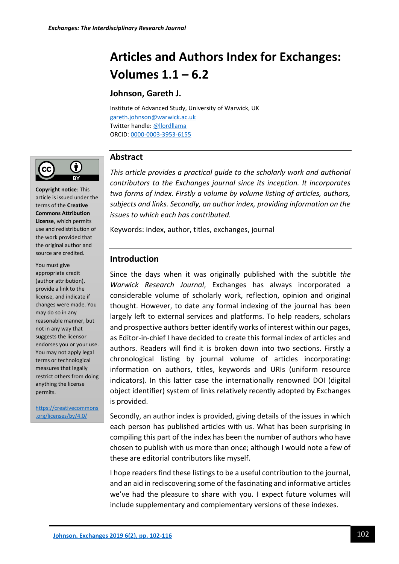# **Articles and Authors Index for Exchanges: Volumes 1.1 – 6.2**

# **Johnson, Gareth J.**

Institute of Advanced Study, University of Warwick, UK [gareth.johnson@warwick.ac.uk](mailto:gareth.johnson@warwick.ac.uk) Twitter handle[: @llordllama](http://twitter.com/llordllama) ORCID: [0000-0003-3953-6155](https://orcid.org/0000-0003-3953-6155)



**Copyright notice**: This article is issued under the terms of the **Creative Commons Attribution License**, which permits use and redistribution of the work provided that the original author and source are credited.

You must give appropriate credit (author attribution), provide a link to the license, and indicate if changes were made. You may do so in any reasonable manner, but not in any way that suggests the licensor endorses you or your use. You may not apply legal terms or technological measures that legally restrict others from doing anything the license permits.

[https://creativecommons](https://creativecommons.org/licenses/by/4.0/) [.org/licenses/by/4.0/](https://creativecommons.org/licenses/by/4.0/)

# **Abstract**

*This article provides a practical guide to the scholarly work and authorial contributors to the Exchanges journal since its inception. It incorporates two forms of index. Firstly a volume by volume listing of articles, authors, subjects and links. Secondly, an author index, providing information on the issues to which each has contributed.*

Keywords: index, author, titles, exchanges, journal

# **Introduction**

Since the days when it was originally published with the subtitle *the Warwick Research Journal*, Exchanges has always incorporated a considerable volume of scholarly work, reflection, opinion and original thought. However, to date any formal indexing of the journal has been largely left to external services and platforms. To help readers, scholars and prospective authors better identify works of interest within our pages, as Editor-in-chief I have decided to create this formal index of articles and authors. Readers will find it is broken down into two sections. Firstly a chronological listing by journal volume of articles incorporating: information on authors, titles, keywords and URIs (uniform resource indicators). In this latter case the internationally renowned DOI (digital object identifier) system of links relatively recently adopted by Exchanges is provided.

Secondly, an author index is provided, giving details of the issues in which each person has published articles with us. What has been surprising in compiling this part of the index has been the number of authors who have chosen to publish with us more than once; although I would note a few of these are editorial contributors like myself.

I hope readers find these listings to be a useful contribution to the journal, and an aid in rediscovering some of the fascinating and informative articles we've had the pleasure to share with you. I expect future volumes will include supplementary and complementary versions of these indexes.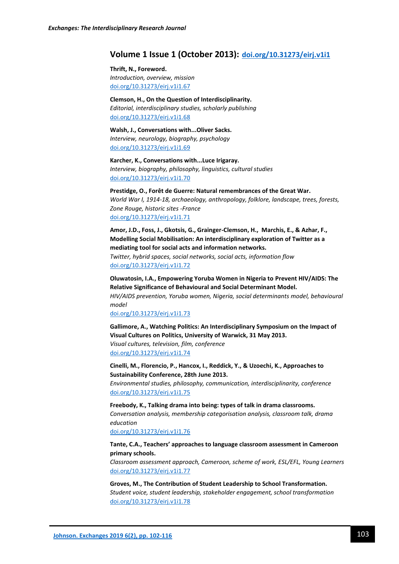# **Volume 1 Issue 1 (October 2013): [doi.org/10.31273/eirj.v1i1](file://///ads.warwick.ac.uk/shared/IA/Exchanges%20-%20Interdisciplinary%20Research%20Journal/Developmental%20Work/doi.org/10.31273/eirj.v1i1)**

#### **Thrift, N., Foreword.**

*Introduction, overview, mission* [doi.org/10.31273/eirj.v1i1.67](https://doi.org/10.31273/eirj.v1i1.67)

### **Clemson, H., On the Question of Interdisciplinarity.**

*Editorial, interdisciplinary studies, scholarly publishing* [doi.org/10.31273/eirj.v1i1.68](https://doi.org/10.31273/eirj.v1i1.68)

**Walsh, J., Conversations with...Oliver Sacks.** *Interview, neurology, biography, psychology* [doi.org/10.31273/eirj.v1i1.69](https://doi.org/10.31273/eirj.v1i1.69)

**Karcher, K., Conversations with...Luce Irigaray.** *Interview, biography, philosophy, linguistics, cultural studies* [doi.org/10.31273/eirj.v1i1.70](https://doi.org/10.31273/eirj.v1i1.70)

**Prestidge, O., Forêt de Guerre: Natural remembrances of the Great War.** *World War I, 1914-18, archaeology, anthropology, folklore, landscape, trees, forests, Zone Rouge, historic sites -France* [doi.org/10.31273/eirj.v1i1.71](https://doi.org/10.31273/eirj.v1i1.71)

**Amor, J.D., Foss, J., Gkotsis, G., Grainger-Clemson, H., Marchis, E., & Azhar, F., Modelling Social Mobilisation: An interdisciplinary exploration of Twitter as a mediating tool for social acts and information networks.** *Twitter, hybrid spaces, social networks, social acts, information flow* [doi.org/10.31273/eirj.v1i1.72](https://doi.org/10.31273/eirj.v1i1.72)

**Oluwatosin, I.A., Empowering Yoruba Women in Nigeria to Prevent HIV/AIDS: The Relative Significance of Behavioural and Social Determinant Model.** *HIV/AIDS prevention, Yoruba women, Nigeria, social determinants model, behavioural model*

#### [doi.org/10.31273/eirj.v1i1.73](https://doi.org/10.31273/eirj.v1i1.73)

**Gallimore, A., Watching Politics: An Interdisciplinary Symposium on the Impact of Visual Cultures on Politics, University of Warwick, 31 May 2013.** *Visual cultures, television, film, conference* [doi.org/10.31273/eirj.v1i1.74](https://doi.org/10.31273/eirj.v1i1.74)

**Cinelli, M., Florencio, P., Hancox, I., Reddick, Y., & Uzoechi, K., Approaches to Sustainability Conference, 28th June 2013.** *Environmental studies, philosophy, communication, interdisciplinarity, conference* [doi.org/10.31273/eirj.v1i1.75](https://doi.org/10.31273/eirj.v1i1.75)

**Freebody, K., Talking drama into being: types of talk in drama classrooms.** *Conversation analysis, membership categorisation analysis, classroom talk, drama education*

[doi.org/10.31273/eirj.v1i1.76](https://doi.org/10.31273/eirj.v1i1.76)

#### **Tante, C.A., Teachers' approaches to language classroom assessment in Cameroon primary schools.**

*Classroom assessment approach, Cameroon, scheme of work, ESL/EFL, Young Learners* [doi.org/10.31273/eirj.v1i1.77](https://doi.org/10.31273/eirj.v1i1.77)

**Groves, M., The Contribution of Student Leadership to School Transformation.** *Student voice, student leadership, stakeholder engagement, school transformation* [doi.org/10.31273/eirj.v1i1.78](https://doi.org/10.31273/eirj.v1i1.78)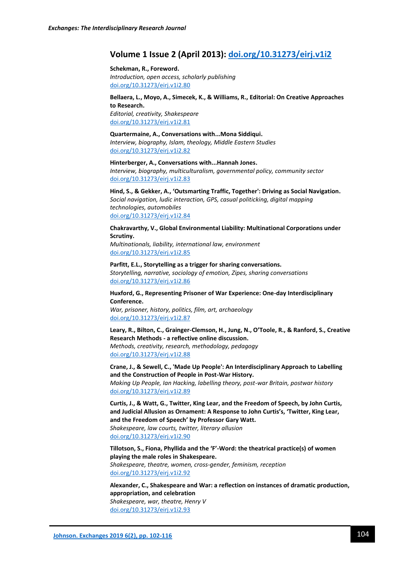# **Volume 1 Issue 2 (April 2013): [doi.org/10.31273/eirj.v1i2](https://doi.org/10.31273/eirj.v1i2)**

#### **Schekman, R., Foreword.**

*Introduction, open access, scholarly publishing* [doi.org/10.31273/eirj.v1i2.80](https://doi.org/10.31273/eirj.v1i2.80)

#### **Bellaera, L., Moyo, A., Simecek, K., & Williams, R., Editorial: On Creative Approaches to Research.**

*Editorial, creativity, Shakespeare* [doi.org/10.31273/eirj.v1i2.81](https://doi.org/10.31273/eirj.v1i2.81)

#### **Quartermaine, A., Conversations with...Mona Siddiqui.**

*Interview, biography, Islam, theology, Middle Eastern Studies* [doi.org/10.31273/eirj.v1i2.82](https://doi.org/10.31273/eirj.v1i2.82)

**Hinterberger, A., Conversations with...Hannah Jones.** *Interview, biography, multiculturalism, governmental policy, community sector* [doi.org/10.31273/eirj.v1i2.83](https://doi.org/10.31273/eirj.v1i2.83)

**Hind, S., & Gekker, A., 'Outsmarting Traffic, Together': Driving as Social Navigation.** *Social navigation, ludic interaction, GPS, casual politicking, digital mapping technologies, automobiles* [doi.org/10.31273/eirj.v1i2.84](https://doi.org/10.31273/eirj.v1i2.84)

### **Chakravarthy, V., Global Environmental Liability: Multinational Corporations under Scrutiny.**

*Multinationals, liability, international law, environment* [doi.org/10.31273/eirj.v1i2.85](https://doi.org/10.31273/eirj.v1i2.85)

#### **Parfitt, E.L., Storytelling as a trigger for sharing conversations.**

*Storytelling, narrative, sociology of emotion, Zipes, sharing conversations* [doi.org/10.31273/eirj.v1i2.86](https://doi.org/10.31273/eirj.v1i2.86)

#### **Huxford, G., Representing Prisoner of War Experience: One-day Interdisciplinary Conference.**

*War, prisoner, history, politics, film, art, archaeology* [doi.org/10.31273/eirj.v1i2.87](https://doi.org/10.31273/eirj.v1i2.87)

**Leary, R., Bilton, C., Grainger-Clemson, H., Jung, N., O'Toole, R., & Ranford, S., Creative Research Methods - a reflective online discussion.** *Methods, creativity, research, methodology, pedagogy* [doi.org/10.31273/eirj.v1i2.88](https://doi.org/10.31273/eirj.v1i2.88)

**Crane, J., & Sewell, C., 'Made Up People': An Interdisciplinary Approach to Labelling and the Construction of People in Post-War History.** *Making Up People, Ian Hacking, labelling theory, post-war Britain, postwar history* [doi.org/10.31273/eirj.v1i2.89](https://doi.org/10.31273/eirj.v1i2.89)

**Curtis, J., & Watt, G., Twitter, King Lear, and the Freedom of Speech, by John Curtis, and Judicial Allusion as Ornament: A Response to John Curtis's, 'Twitter, King Lear, and the Freedom of Speech' by Professor Gary Watt.**

*Shakespeare, law courts, twitter, literary allusion* [doi.org/10.31273/eirj.v1i2.90](https://doi.org/10.31273/eirj.v1i2.90)

**Tillotson, S., Fiona, Phyllida and the 'F'-Word: the theatrical practice(s) of women playing the male roles in Shakespeare.** *Shakespeare, theatre, women, cross-gender, feminism, reception* [doi.org/10.31273/eirj.v1i2.92](https://doi.org/10.31273/eirj.v1i2.92)

**Alexander, C., Shakespeare and War: a reflection on instances of dramatic production, appropriation, and celebration** *Shakespeare, war, theatre, Henry V* [doi.org/10.31273/eirj.v1i2.93](https://doi.org/10.31273/eirj.v1i2.93)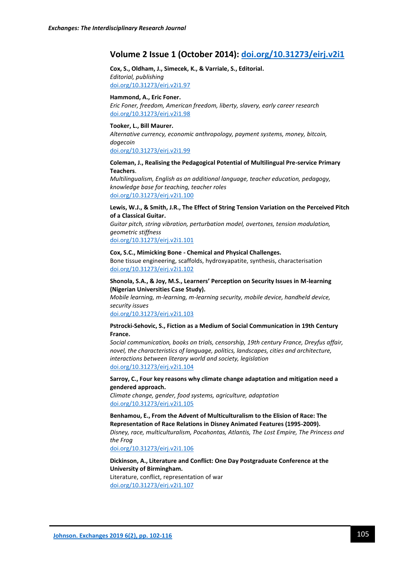# **Volume 2 Issue 1 (October 2014): [doi.org/10.31273/eirj.v2i1](https://doi.org/10.31273/eirj.v2i1)**

**Cox, S., Oldham, J., Simecek, K., & Varriale, S., Editorial.** *Editorial, publishing* [doi.org/10.31273/eirj.v2i1.97](https://doi.org/10.31273/eirj.v2i1.97)

#### **Hammond, A., Eric Foner.**

*Eric Foner, freedom, American freedom, liberty, slavery, early career research* [doi.org/10.31273/eirj.v2i1.98](https://doi.org/10.31273/eirj.v2i1.98)

#### **Tooker, L., Bill Maurer.**

*Alternative currency, economic anthropology, payment systems, money, bitcoin, dogecoin*

[doi.org/10.31273/eirj.v2i1.99](https://doi.org/10.31273/eirj.v2i1.99)

#### **Coleman, J., Realising the Pedagogical Potential of Multilingual Pre-service Primary Teachers**.

*Multilingualism, English as an additional language, teacher education, pedagogy, knowledge base for teaching, teacher roles* [doi.org/10.31273/eirj.v2i1.100](https://doi.org/10.31273/eirj.v2i1.100)

#### **Lewis, W.J., & Smith, J.R., The Effect of String Tension Variation on the Perceived Pitch of a Classical Guitar.**

*Guitar pitch, string vibration, perturbation model, overtones, tension modulation, geometric stiffness*

[doi.org/10.31273/eirj.v2i1.101](https://doi.org/10.31273/eirj.v2i1.101)

#### **Cox, S.C., Mimicking Bone - Chemical and Physical Challenges.**

Bone tissue engineering, scaffolds, hydroxyapatite, synthesis, characterisation [doi.org/10.31273/eirj.v2i1.102](https://doi.org/10.31273/eirj.v2i1.102)

#### **Shonola, S.A., & Joy, M.S., Learners' Perception on Security Issues in M-learning (Nigerian Universities Case Study).**

*Mobile learning, m-learning, m-learning security, mobile device, handheld device, security issues*

[doi.org/10.31273/eirj.v2i1.103](https://doi.org/10.31273/eirj.v2i1.103)

#### **Pstrocki-Sehovic, S., Fiction as a Medium of Social Communication in 19th Century France.**

*Social communication, books on trials, censorship, 19th century France, Dreyfus affair, novel, the characteristics of language, politics, landscapes, cities and architecture, interactions between literary world and society, legislation* [doi.org/10.31273/eirj.v2i1.104](https://doi.org/10.31273/eirj.v2i1.104)

#### **Sarroy, C., Four key reasons why climate change adaptation and mitigation need a gendered approach.**

*Climate change, gender, food systems, agriculture, adaptation* [doi.org/10.31273/eirj.v2i1.105](https://doi.org/10.31273/eirj.v2i1.105)

**Benhamou, E., From the Advent of Multiculturalism to the Elision of Race: The Representation of Race Relations in Disney Animated Features (1995-2009).** *Disney, race, multiculturalism, Pocahontas, Atlantis, The Lost Empire, The Princess and the Frog*

[doi.org/10.31273/eirj.v2i1.106](https://doi.org/10.31273/eirj.v2i1.106)

#### **Dickinson, A., Literature and Conflict: One Day Postgraduate Conference at the University of Birmingham.** Literature, conflict, representation of war [doi.org/10.31273/eirj.v2i1.107](https://doi.org/10.31273/eirj.v2i1.107)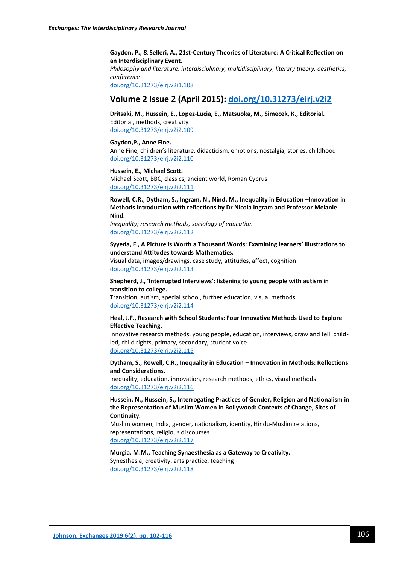#### **Gaydon, P., & Selleri, A., 21st-Century Theories of Literature: A Critical Reflection on an Interdisciplinary Event.**

*Philosophy and literature, interdisciplinary, multidisciplinary, literary theory, aesthetics, conference*

[doi.org/10.31273/eirj.v2i1.108](https://doi.org/10.31273/eirj.v2i1.108)

## **Volume 2 Issue 2 (April 2015): [doi.org/10.31273/eirj.v2i2](https://doi.org/10.31273/eirj.v2i2)**

**Dritsaki, M., Hussein, E., Lopez-Lucia, E., Matsuoka, M., Simecek, K., Editorial.** Editorial, methods, creativity [doi.org/10.31273/eirj.v2i2.109](https://doi.org/10.31273/eirj.v2i2.109)

**Gaydon,P., Anne Fine.** Anne Fine, children's literature, didacticism, emotions, nostalgia, stories, childhood [doi.org/10.31273/eirj.v2i2.110](https://doi.org/10.31273/eirj.v2i2.110)

**Hussein, E., Michael Scott.**  Michael Scott, BBC, classics, ancient world, Roman Cyprus [doi.org/10.31273/eirj.v2i2.111](https://doi.org/10.31273/eirj.v2i2.111)

**Rowell, C.R., Dytham, S., Ingram, N., Nind, M., Inequality in Education –Innovation in Methods Introduction with reflections by Dr Nicola Ingram and Professor Melanie Nind.**

*Inequality; research methods; sociology of education* [doi.org/10.31273/eirj.v2i2.112](https://doi.org/10.31273/eirj.v2i2.112)

**Syyeda, F., A Picture is Worth a Thousand Words: Examining learners' illustrations to understand Attitudes towards Mathematics.**

Visual data, images/drawings, case study, attitudes, affect, cognition [doi.org/10.31273/eirj.v2i2.113](https://doi.org/10.31273/eirj.v2i2.113)

#### **Shepherd, J., 'Interrupted Interviews': listening to young people with autism in transition to college.**

Transition, autism, special school, further education, visual methods [doi.org/10.31273/eirj.v2i2.114](https://doi.org/10.31273/eirj.v2i2.114)

#### **Heal, J.F., Research with School Students: Four Innovative Methods Used to Explore Effective Teaching.**

Innovative research methods, young people, education, interviews, draw and tell, childled, child rights, primary, secondary, student voice [doi.org/10.31273/eirj.v2i2.115](https://doi.org/10.31273/eirj.v2i2.115)

**Dytham, S., Rowell, C.R., Inequality in Education – Innovation in Methods: Reflections and Considerations.**

Inequality, education, innovation, research methods, ethics, visual methods [doi.org/10.31273/eirj.v2i2.116](https://doi.org/10.31273/eirj.v2i2.116)

**Hussein, N., Hussein, S., Interrogating Practices of Gender, Religion and Nationalism in the Representation of Muslim Women in Bollywood: Contexts of Change, Sites of Continuity.**

Muslim women, India, gender, nationalism, identity, Hindu-Muslim relations, representations, religious discourses [doi.org/10.31273/eirj.v2i2.117](https://doi.org/10.31273/eirj.v2i2.117)

**Murgia, M.M., Teaching Synaesthesia as a Gateway to Creativity.** Synesthesia, creativity, arts practice, teaching [doi.org/10.31273/eirj.v2i2.118](https://doi.org/10.31273/eirj.v2i2.118)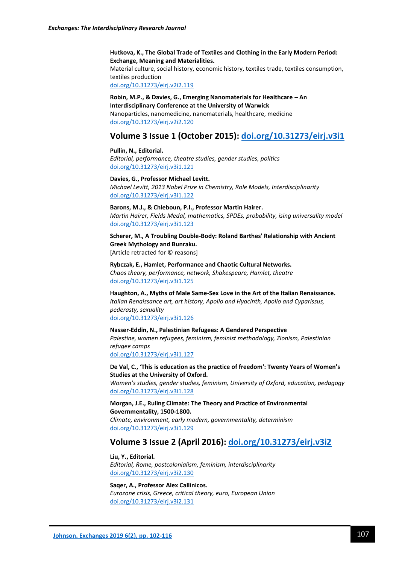**Hutkova, K., The Global Trade of Textiles and Clothing in the Early Modern Period: Exchange, Meaning and Materialities.** Material culture, social history, economic history, textiles trade, textiles consumption, textiles production [doi.org/10.31273/eirj.v2i2.119](https://doi.org/10.31273/eirj.v2i2.119)

**Robin, M.P., & Davies, G., Emerging Nanomaterials for Healthcare – An Interdisciplinary Conference at the University of Warwick** Nanoparticles, nanomedicine, nanomaterials, healthcare, medicine [doi.org/10.31273/eirj.v2i2.120](https://doi.org/10.31273/eirj.v2i2.120)

# **Volume 3 Issue 1 (October 2015): [doi.org/10.31273/eirj.v3i1](https://doi.org/10.31273/eirj.v3i1)**

**Pullin, N., Editorial.** *Editorial, performance, theatre studies, gender studies, politics* [doi.org/10.31273/eirj.v3i1.121](https://doi.org/10.31273/eirj.v3i1.121)

**Davies, G., Professor Michael Levitt.** *Michael Levitt, 2013 Nobel Prize in Chemistry, Role Models, Interdisciplinarity* [doi.org/10.31273/eirj.v3i1.122](https://doi.org/10.31273/eirj.v3i1.122)

**Barons, M.J., & Chleboun, P.I., Professor Martin Hairer.** *Martin Hairer, Fields Medal, mathematics, SPDEs, probability, ising universality model* [doi.org/10.31273/eirj.v3i1.123](https://doi.org/10.31273/eirj.v3i1.123)

**Scherer, M., A Troubling Double-Body: Roland Barthes' Relationship with Ancient Greek Mythology and Bunraku.** [Article retracted for © reasons]

**Rybczak, E., Hamlet, Performance and Chaotic Cultural Networks.** *Chaos theory, performance, network, Shakespeare, Hamlet, theatre* [doi.org/10.31273/eirj.v3i1.125](https://doi.org/10.31273/eirj.v3i1.125)

**Haughton, A., Myths of Male Same-Sex Love in the Art of the Italian Renaissance.** *Italian Renaissance art, art history, Apollo and Hyacinth, Apollo and Cyparissus, pederasty, sexuality* [doi.org/10.31273/eirj.v3i1.126](https://doi.org/10.31273/eirj.v3i1.126)

**Nasser-Eddin, N., Palestinian Refugees: A Gendered Perspective** *Palestine, women refugees, feminism, feminist methodology, Zionism, Palestinian refugee camps* [doi.org/10.31273/eirj.v3i1.127](https://doi.org/10.31273/eirj.v3i1.127)

**De Val, C., 'This is education as the practice of freedom': Twenty Years of Women's Studies at the University of Oxford.** *Women's studies, gender studies, feminism, University of Oxford, education, pedagogy* [doi.org/10.31273/eirj.v3i1.128](https://doi.org/10.31273/eirj.v3i1.128)

**Morgan, J.E., Ruling Climate: The Theory and Practice of Environmental Governmentality, 1500-1800.** *Climate, environment, early modern, governmentality, determinism* [doi.org/10.31273/eirj.v3i1.129](https://doi.org/10.31273/eirj.v3i1.129)

# **Volume 3 Issue 2 (April 2016): [doi.org/10.31273/eirj.v3i2](https://doi.org/10.31273/eirj.v3i2)**

**Liu, Y., Editorial.** *Editorial, Rome, postcolonialism, feminism, interdisciplinarity* [doi.org/10.31273/eirj.v3i2.130](http://doi.org/10.31273/eirj.v3i2.130)

#### **Saqer, A., Professor Alex Callinicos.**

*Eurozone crisis, Greece, critical theory, euro, European Union* [doi.org/10.31273/eirj.v3i2.131](https://doi.org/10.31273/eirj.v3i2.131)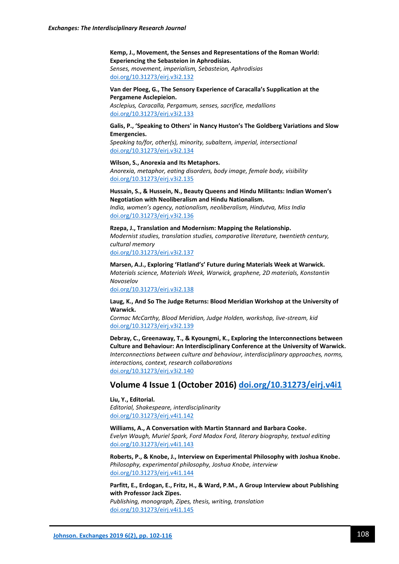**Kemp, J., Movement, the Senses and Representations of the Roman World: Experiencing the Sebasteion in Aphrodisias.** *Senses, movement, imperialism, Sebasteion, Aphrodisias* [doi.org/10.31273/eirj.v3i2.132](https://doi.org/10.31273/eirj.v3i2.132)

**Van der Ploeg, G., The Sensory Experience of Caracalla's Supplication at the Pergamene Asclepieion.**

*Asclepius, Caracalla, Pergamum, senses, sacrifice, medallions* [doi.org/10.31273/eirj.v3i2.133](https://doi.org/10.31273/eirj.v3i2.133)

**Galis, P., 'Speaking to Others' in Nancy Huston's The Goldberg Variations and Slow Emergencies.**

*Speaking to/for, other(s), minority, subaltern, imperial, intersectional* [doi.org/10.31273/eirj.v3i2.134](https://doi.org/10.31273/eirj.v3i2.134)

#### **Wilson, S., Anorexia and Its Metaphors.**

*Anorexia, metaphor, eating disorders, body image, female body, visibility* [doi.org/10.31273/eirj.v3i2.135](https://doi.org/10.31273/eirj.v3i2.135)

**Hussain, S., & Hussein, N., Beauty Queens and Hindu Militants: Indian Women's Negotiation with Neoliberalism and Hindu Nationalism.**

*India, women's agency, nationalism, neoliberalism, Hindutva, Miss India* [doi.org/10.31273/eirj.v3i2.136](https://doi.org/10.31273/eirj.v3i2.136)

**Rzepa, J., Translation and Modernism: Mapping the Relationship.** *Modernist studies, translation studies, comparative literature, twentieth century, cultural memory* [doi.org/10.31273/eirj.v3i2.137](https://doi.org/10.31273/eirj.v3i2.137)

**Marsen, A.J., Exploring 'Flatland's' Future during Materials Week at Warwick.** *Materials science, Materials Week, Warwick, graphene, 2D materials, Konstantin Novoselov*

[doi.org/10.31273/eirj.v3i2.138](https://doi.org/10.31273/eirj.v3i2.138)

**Laug, K., And So The Judge Returns: Blood Meridian Workshop at the University of Warwick.**

*Cormac McCarthy, Blood Meridian, Judge Holden, workshop, live-stream, kid* [doi.org/10.31273/eirj.v3i2.139](https://doi.org/10.31273/eirj.v3i2.139)

**Debray, C., Greenaway, T., & Kyoungmi, K., Exploring the Interconnections between Culture and Behaviour: An Interdisciplinary Conference at the University of Warwick.** *Interconnections between culture and behaviour, interdisciplinary approaches, norms, interactions, context, research collaborations* [doi.org/10.31273/eirj.v3i2.140](https://doi.org/10.31273/eirj.v3i2.140)

### **Volume 4 Issue 1 (October 2016) [doi.org/10.31273/eirj.v4i1](https://doi.org/10.31273/eirj.v4i1)**

**Liu, Y., Editorial.** *Editorial, Shakespeare, interdisciplinarity* [doi.org/10.31273/eirj.v4i1.142](https://doi.org/10.31273/eirj.v4i1.142)

**Williams, A., A Conversation with Martin Stannard and Barbara Cooke.** *Evelyn Waugh, Muriel Spark, Ford Madox Ford, literary biography, textual editing* [doi.org/10.31273/eirj.v4i1.143](https://doi.org/10.31273/eirj.v4i1.143)

**Roberts, P., & Knobe, J., Interview on Experimental Philosophy with Joshua Knobe.** *Philosophy, experimental philosophy, Joshua Knobe, interview* [doi.org/10.31273/eirj.v4i1.144](https://doi.org/10.31273/eirj.v4i1.144)

**Parfitt, E., Erdogan, E., Fritz, H., & Ward, P.M., A Group Interview about Publishing with Professor Jack Zipes.**

*Publishing, monograph, Zipes, thesis, writing, translation* [doi.org/10.31273/eirj.v4i1.145](https://doi.org/10.31273/eirj.v4i1.145)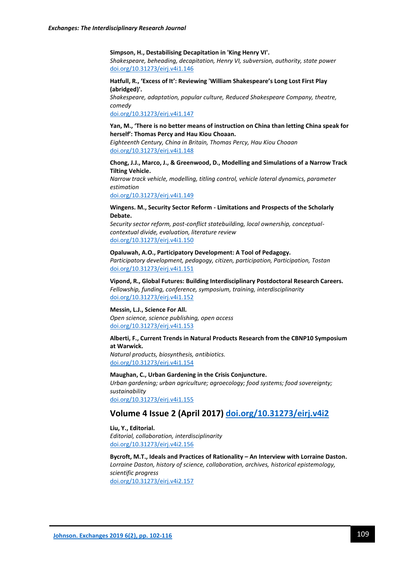*comedy*

**Simpson, H., Destabilising Decapitation in 'King Henry VI'.**

*Shakespeare, beheading, decapitation, Henry VI, subversion, authority, state power* [doi.org/10.31273/eirj.v4i1.146](https://doi.org/10.31273/eirj.v4i1.146)

**Hatfull, R., 'Excess of It': Reviewing 'William Shakespeare's Long Lost First Play (abridged)'.** *Shakespeare, adaptation, popular culture, Reduced Shakespeare Company, theatre,* 

[doi.org/10.31273/eirj.v4i1.147](https://doi.org/10.31273/eirj.v4i1.147)

**Yan, M., 'There is no better means of instruction on China than letting China speak for herself': Thomas Percy and Hau Kiou Choaan.**

*Eighteenth Century, China in Britain, Thomas Percy, Hau Kiou Choaan* [doi.org/10.31273/eirj.v4i1.148](https://doi.org/10.31273/eirj.v4i1.148)

**Chong, J.J., Marco, J., & Greenwood, D., Modelling and Simulations of a Narrow Track Tilting Vehicle.**

*Narrow track vehicle, modelling, titling control, vehicle lateral dynamics, parameter estimation*

[doi.org/10.31273/eirj.v4i1.149](https://doi.org/10.31273/eirj.v4i1.149)

#### **Wingens. M., Security Sector Reform - Limitations and Prospects of the Scholarly Debate.**

*Security sector reform, post-conflict statebuilding, local ownership, conceptualcontextual divide, evaluation, literature review* [doi.org/10.31273/eirj.v4i1.150](https://doi.org/10.31273/eirj.v4i1.150)

#### **Opaluwah, A.O., Participatory Development: A Tool of Pedagogy.**

*Participatory development, pedagogy, citizen, participation, Participation, Tostan* [doi.org/10.31273/eirj.v4i1.151](https://doi.org/10.31273/eirj.v4i1.151)

**Vipond, R., Global Futures: Building Interdisciplinary Postdoctoral Research Careers.** *Fellowship, funding, conference, symposium, training, interdisciplinarity* [doi.org/10.31273/eirj.v4i1.152](https://doi.org/10.31273/eirj.v4i1.152)

#### **Messin, L.J., Science For All.**

*Open science, science publishing, open access* [doi.org/10.31273/eirj.v4i1.153](https://doi.org/10.31273/eirj.v4i1.153)

#### **Alberti, F., Current Trends in Natural Products Research from the CBNP10 Symposium at Warwick.**

*Natural products, biosynthesis, antibiotics.* [doi.org/10.31273/eirj.v4i1.154](https://doi.org/10.31273/eirj.v4i1.154)

**Maughan, C., Urban Gardening in the Crisis Conjuncture.** *Urban gardening; urban agriculture; agroecology; food systems; food sovereignty; sustainability* [doi.org/10.31273/eirj.v4i1.155](https://doi.org/10.31273/eirj.v4i1.155)

## **Volume 4 Issue 2 (April 2017) [doi.org/10.31273/eirj.v4i2](https://doi.org/10.31273/eirj.v4i2)**

**Liu, Y., Editorial.** *Editorial, collaboration, interdisciplinarity* [doi.org/10.31273/eirj.v4i2.156](https://doi.org/10.31273/eirj.v4i2.156)

**Bycroft, M.T., Ideals and Practices of Rationality – An Interview with Lorraine Daston.** *Lorraine Daston, history of science, collaboration, archives, historical epistemology, scientific progress* [doi.org/10.31273/eirj.v4i2.157](https://doi.org/10.31273/eirj.v4i2.157)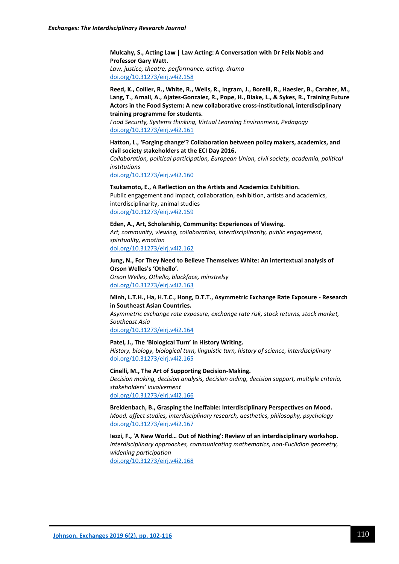**Mulcahy, S., Acting Law | Law Acting: A Conversation with Dr Felix Nobis and Professor Gary Watt.** *Law, justice, theatre, performance, acting, drama* [doi.org/10.31273/eirj.v4i2.158](https://doi.org/10.31273/eirj.v4i2.158)

**Reed, K., Collier, R., White, R., Wells, R., Ingram, J., Borelli, R., Haesler, B., Caraher, M., Lang, T., Arnall, A., Ajates-Gonzalez, R., Pope, H., Blake, L., & Sykes, R., Training Future Actors in the Food System: A new collaborative cross-institutional, interdisciplinary training programme for students.**

*Food Security, Systems thinking, Virtual Learning Environment, Pedagogy* [doi.org/10.31273/eirj.v4i2.161](https://doi.org/10.31273/eirj.v4i2.161)

**Hatton, L., 'Forging change'? Collaboration between policy makers, academics, and civil society stakeholders at the ECI Day 2016.**

*Collaboration, political participation, European Union, civil society, academia, political institutions*

[doi.org/10.31273/eirj.v4i2.160](https://doi.org/10.31273/eirj.v4i2.160)

**Tsukamoto, E., A Reflection on the Artists and Academics Exhibition.** Public engagement and impact, collaboration, exhibition, artists and academics, interdisciplinarity, animal studies [doi.org/10.31273/eirj.v4i2.159](https://doi.org/10.31273/eirj.v4i2.159)

**Eden, A., Art, Scholarship, Community: Experiences of Viewing.** *Art, community, viewing, collaboration, interdisciplinarity, public engagement, spirituality, emotion* [doi.org/10.31273/eirj.v4i2.162](https://doi.org/10.31273/eirj.v4i2.162)

**Jung, N., For They Need to Believe Themselves White: An intertextual analysis of Orson Welles's 'Othello'.** *Orson Welles, Othello, blackface, minstrelsy* [doi.org/10.31273/eirj.v4i2.163](https://doi.org/10.31273/eirj.v4i2.163)

**Minh, L.T.H., Ha, H.T.C., Hong, D.T.T., Asymmetric Exchange Rate Exposure - Research in Southeast Asian Countries.** *Asymmetric exchange rate exposure, exchange rate risk, stock returns, stock market, Southeast Asia*

[doi.org/10.31273/eirj.v4i2.164](https://doi.org/10.31273/eirj.v4i2.164)

**Patel, J., The 'Biological Turn' in History Writing.** *History, biology, biological turn, linguistic turn, history of science, interdisciplinary* [doi.org/10.31273/eirj.v4i2.165](https://doi.org/10.31273/eirj.v4i2.165)

**Cinelli, M., The Art of Supporting Decision-Making.** *Decision making, decision analysis, decision aiding, decision support, multiple criteria, stakeholders' involvement* [doi.org/10.31273/eirj.v4i2.166](https://doi.org/10.31273/eirj.v4i2.166)

**Breidenbach, B., Grasping the Ineffable: Interdisciplinary Perspectives on Mood.** *Mood, affect studies, interdisciplinary research, aesthetics, philosophy, psychology* [doi.org/10.31273/eirj.v4i2.167](https://doi.org/10.31273/eirj.v4i2.167)

**Iezzi, F., 'A New World… Out of Nothing': Review of an interdisciplinary workshop.** *Interdisciplinary approaches, communicating mathematics, non-Euclidian geometry, widening participation* [doi.org/10.31273/eirj.v4i2.168](https://doi.org/10.31273/eirj.v4i2.168)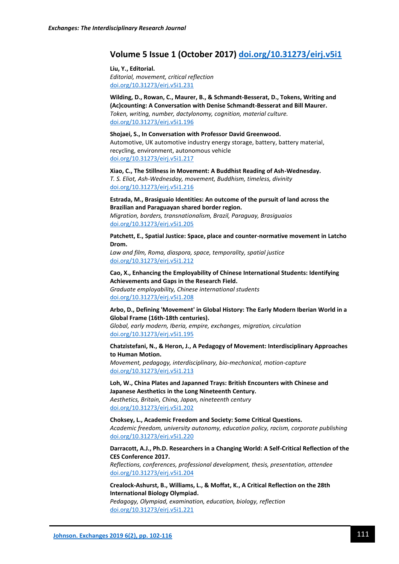# **Volume 5 Issue 1 (October 2017) [doi.org/10.31273/eirj.v5i1](https://doi.org/10.31273/eirj.v5i1)**

**Liu, Y., Editorial.** *Editorial, movement, critical reflection* [doi.org/10.31273/eirj.v5i1.231](https://doi.org/10.31273/eirj.v5i1.231)

**Wilding, D., Rowan, C., Maurer, B., & Schmandt-Besserat, D., Tokens, Writing and (Ac)counting: A Conversation with Denise Schmandt-Besserat and Bill Maurer.** *Token, writing, number, dactylonomy, cognition, material culture.* [doi.org/10.31273/eirj.v5i1.196](https://doi.org/10.31273/eirj.v5i1.196)

**Shojaei, S., In Conversation with Professor David Greenwood.** Automotive, UK automotive industry energy storage, battery, battery material, recycling, environment, autonomous vehicle [doi.org/10.31273/eirj.v5i1.217](https://doi.org/10.31273/eirj.v5i1.217)

**Xiao, C., The Stillness in Movement: A Buddhist Reading of Ash-Wednesday.** *T. S. Eliot, Ash-Wednesday, movement, Buddhism, timeless, divinity* [doi.org/10.31273/eirj.v5i1.216](https://doi.org/10.31273/eirj.v5i1.216)

**Estrada, M., Brasiguaio Identities: An outcome of the pursuit of land across the Brazilian and Paraguayan shared border region.** *Migration, borders, transnationalism, Brazil, Paraguay, Brasiguaios* [doi.org/10.31273/eirj.v5i1.205](https://doi.org/10.31273/eirj.v5i1.205)

**Patchett, E., Spatial Justice: Space, place and counter-normative movement in Latcho Drom.**

*Law and film, Roma, diaspora, space, temporality, spatial justice* [doi.org/10.31273/eirj.v5i1.212](https://doi.org/10.31273/eirj.v5i1.212)

**Cao, X., Enhancing the Employability of Chinese International Students: Identifying Achievements and Gaps in the Research Field.** *Graduate employability, Chinese international students* [doi.org/10.31273/eirj.v5i1.208](https://doi.org/10.31273/eirj.v5i1.208)

**Arbo, D., Defining 'Movement' in Global History: The Early Modern Iberian World in a Global Frame (16th-18th centuries).**

*Global, early modern, Iberia, empire, exchanges, migration, circulation* [doi.org/10.31273/eirj.v5i1.195](https://doi.org/10.31273/eirj.v5i1.195)

**Chatzistefani, N., & Heron, J., A Pedagogy of Movement: Interdisciplinary Approaches to Human Motion.**

*Movement, pedagogy, interdisciplinary, bio-mechanical, motion-capture* [doi.org/10.31273/eirj.v5i1.213](https://doi.org/10.31273/eirj.v5i1.213)

**Loh, W., China Plates and Japanned Trays: British Encounters with Chinese and Japanese Aesthetics in the Long Nineteenth Century.** *Aesthetics, Britain, China, Japan, nineteenth century*

[doi.org/10.31273/eirj.v5i1.202](https://doi.org/10.31273/eirj.v5i1.202)

**Choksey, L., Academic Freedom and Society: Some Critical Questions.** *Academic freedom, university autonomy, education policy, racism, corporate publishing* [doi.org/10.31273/eirj.v5i1.220](https://doi.org/10.31273/eirj.v5i1.220)

**Darracott, A.J., Ph.D. Researchers in a Changing World: A Self-Critical Reflection of the CES Conference 2017.**

*Reflections, conferences, professional development, thesis, presentation, attendee* [doi.org/10.31273/eirj.v5i1.204](https://doi.org/10.31273/eirj.v5i1.204)

**Crealock-Ashurst, B., Williams, L., & Moffat, K., A Critical Reflection on the 28th International Biology Olympiad.**

*Pedagogy, Olympiad, examination, education, biology, reflection* [doi.org/10.31273/eirj.v5i1.221](https://doi.org/10.31273/eirj.v5i1.221)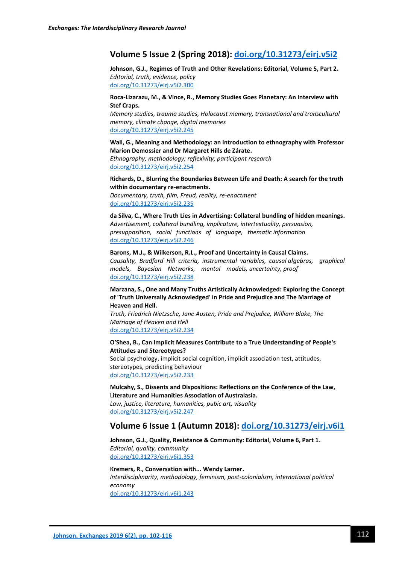# **Volume 5 Issue 2 (Spring 2018): [doi.org/10.31273/eirj.v5i2](http://doi.org/10.31273/eirj.v5i2)**

**Johnson, G.J., Regimes of Truth and Other Revelations: Editorial, Volume 5, Part 2.** *Editorial, truth, evidence, policy* [doi.org/10.31273/eirj.v5i2.300](https://doi.org/10.31273/eirj.v5i2.300)

#### **Roca-Lizarazu, M., & Vince, R., Memory Studies Goes Planetary: An Interview with Stef Craps.**

*Memory studies, trauma studies, Holocaust memory, transnational and transcultural memory, climate change, digital memories* [doi.org/10.31273/eirj.v5i2.245](https://doi.org/10.31273/eirj.v5i2.245)

### **Wall, G., Meaning and Methodology: an introduction to ethnography with Professor Marion Demossier and Dr Margaret Hills de Zárate.**

*Ethnography; methodology; reflexivity; participant research* doi.org/10.31273/eirj.v5i2.254

#### **Richards, D., Blurring the Boundaries Between Life and Death: A search for the truth within documentary re-enactments.**

*Documentary, truth, film, Freud, reality, re-enactment* [doi.org/10.31273/eirj.v5i2.235](https://doi.org/10.31273/eirj.v5i2.235)

**da Silva, C., Where Truth Lies in Advertising: Collateral bundling of hidden meanings.** *Advertisement, collateral bundling, implicature, intertextuality, persuasion, presupposition, social functions of language, thematic information* [doi.org/10.31273/eirj.v5i2.246](https://doi.org/10.31273/eirj.v5i2.246)

#### **Barons, M.J., & Wilkerson, R.L., Proof and Uncertainty in Causal Claims.** *Causality, Bradford Hill criteria, instrumental variables, causal algebras, graphical models, Bayesian Networks, mental models, uncertainty, proof* [doi.org/10.31273/eirj.v5i2.238](https://doi.org/10.31273/eirj.v5i2.238)

#### **Marzana, S., One and Many Truths Artistically Acknowledged: Exploring the Concept of 'Truth Universally Acknowledged' in Pride and Prejudice and The Marriage of Heaven and Hell.**

*Truth, Friedrich Nietzsche, Jane Austen, Pride and Prejudice, William Blake, The Marriage of Heaven and Hell* [doi.org/10.31273/eirj.v5i2.234](https://doi.org/10.31273/eirj.v5i2.234)

#### **O'Shea, B., Can Implicit Measures Contribute to a True Understanding of People's Attitudes and Stereotypes?**

Social psychology, implicit social cognition, implicit association test, attitudes, stereotypes, predicting behaviour [doi.org/10.31273/eirj.v5i2.233](https://doi.org/10.31273/eirj.v5i2.233)

**Mulcahy, S., Dissents and Dispositions: Reflections on the Conference of the Law, Literature and Humanities Association of Australasia.** *Law, justice, literature, humanities, pubic art, visuality* [doi.org/10.31273/eirj.v5i2.247](https://doi.org/10.31273/eirj.v5i2.247)

### **Volume 6 Issue 1 (Autumn 2018): [doi.org/10.31273/eirj.v6i1](https://doi.org/10.31273/eirj.v6i1)**

**Johnson, G.J., Quality, Resistance & Community: Editorial, Volume 6, Part 1.** *Editorial, quality, community* [doi.org/10.31273/eirj.v6i1.353](https://doi.org/10.31273/eirj.v6i1.353)

**Kremers, R., Conversation with... Wendy Larner.** *Interdisciplinarity, methodology, feminism, post-colonialism, international political economy* [doi.org/10.31273/eirj.v6i1.243](https://doi.org/10.31273/eirj.v6i1.243)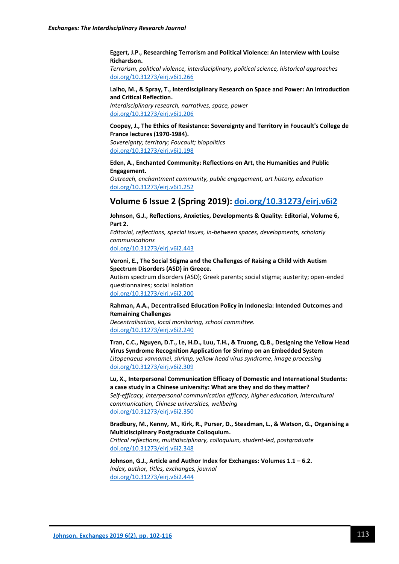**Eggert, J.P., Researching Terrorism and Political Violence: An Interview with Louise Richardson.**

*Terrorism, political violence, interdisciplinary, political science, historical approaches* [doi.org/10.31273/eirj.v6i1.266](https://doi.org/10.31273/eirj.v6i1.266)

#### **Laiho, M., & Spray, T., Interdisciplinary Research on Space and Power: An Introduction and Critical Reflection.**

*Interdisciplinary research, narratives, space, power* [doi.org/10.31273/eirj.v6i1.206](https://doi.org/10.31273/eirj.v6i1.206)

#### **Coopey, J., The Ethics of Resistance: Sovereignty and Territory in Foucault's College de France lectures (1970-1984).**

*Sovereignty; territory; Foucault; biopolitics* [doi.org/10.31273/eirj.v6i1.198](https://doi.org/10.31273/eirj.v6i1.198)

#### **Eden, A., Enchanted Community: Reflections on Art, the Humanities and Public Engagement.**

*Outreach, enchantment community, public engagement, art history, education* [doi.org/10.31273/eirj.v6i1.252](https://doi.org/10.31273/eirj.v6i1.252)

# **Volume 6 Issue 2 (Spring 2019): [doi.org/10.31273/eirj.v6i2](https://doi.org/10.31273/eirj.v6i2)**

**Johnson, G.J., Reflections, Anxieties, Developments & Quality: Editorial, Volume 6, Part 2.**

*Editorial, reflections, special issues, in-between spaces, developments, scholarly communications* [doi.org/10.31273/eirj.v6i2.4](https://doi.org/10.31273/eirj.v6i2.443)43

#### **Veroni, E., The Social Stigma and the Challenges of Raising a Child with Autism Spectrum Disorders (ASD) in Greece.**

Autism spectrum disorders (ASD); Greek parents; social stigma; austerity; open-ended questionnaires; social isolation [doi.org/10.31273/eirj.v6i2.200](http://doi.org/10.31273/eirj.v6i2.200)

#### **Rahman, A.A., Decentralised Education Policy in Indonesia: Intended Outcomes and Remaining Challenges**

*Decentralisation, local monitoring, school committee.* [doi.org/10.31273/eirj.v6i2.240](http://doi.org/10.31273/eirj.v6i2.240)

**Tran, C.C., Nguyen, D.T., Le, H.D., Luu, T.H., & Truong, Q.B., Designing the Yellow Head Virus Syndrome Recognition Application for Shrimp on an Embedded System** *Litopenaeus vannamei, shrimp, yellow head virus syndrome, image processing* [doi.org/10.31273/eirj.v6i2.309](https://doi.org/10.31273/eirj.v6i2.309)

#### **Lu, X., Interpersonal Communication Efficacy of Domestic and International Students: a case study in a Chinese university: What are they and do they matter?**

*Self-efficacy, interpersonal communication efficacy, higher education, intercultural communication, Chinese universities, wellbeing* [doi.org/10.31273/eirj.v6i2.350](https://doi.org/10.31273/eirj.v6i2.350)

**Bradbury, M., Kenny, M., Kirk, R., Purser, D., Steadman, L., & Watson, G., Organising a Multidisciplinary Postgraduate Colloquium.** *Critical reflections, multidisciplinary, colloquium, student-led, postgraduate* [doi.org/10.31273/eirj.v6i2.348](https://doi.org/10.31273/eirj.v6i2.348)

**Johnson, G.J., Article and Author Index for Exchanges: Volumes 1.1 – 6.2.** *Index, author, titles, exchanges, journal* [doi.org/10.31273/eirj.v6i2.444](https://doi.org/10.31273/eirj.v6i2.444)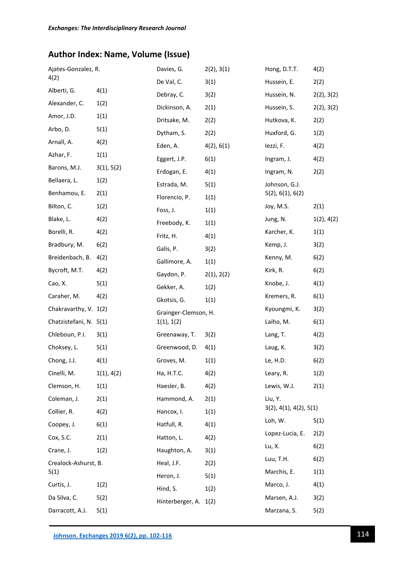# **Author Index: Name, Volume (Issue)**

| Ajates-Gonzalez, R.    |            | Davies, G.            | 2(2), 3(1) | Hong, D.T.T.                      | 4(2)       |
|------------------------|------------|-----------------------|------------|-----------------------------------|------------|
| 4(2)                   |            | De Val, C.            | 3(1)       | Hussein, E.                       | 2(2)       |
| Alberti, G.            | 4(1)       | Debray, C.            | 3(2)       | Hussein, N.                       | 2(2), 3(2) |
| Alexander, C.          | 1(2)       | Dickinson, A.         | 2(1)       | Hussein, S.                       | 2(2), 3(2) |
| Amor, J.D.             | 1(1)       | Dritsake, M.          | 2(2)       | Hutkova, K.                       | 2(2)       |
| Arbo, D.               | 5(1)       | Dytham, S.            | 2(2)       | Huxford, G.                       | 1(2)       |
| Arnall, A.             | 4(2)       | Eden, A.              | 4(2), 6(1) | lezzi, F.                         | 4(2)       |
| Azhar, F.              | 1(1)       | Eggert, J.P.          | 6(1)       | Ingram, J.                        | 4(2)       |
| Barons, M.J.           | 3(1), 5(2) | Erdogan, E.           | 4(1)       | Ingram, N.                        | 2(2)       |
| Bellaera, L.           | 1(2)       | Estrada, M.           | 5(1)       | Johnson, G.J.                     |            |
| Benhamou, E.           | 2(1)       | Florencio, P.         | 1(1)       | 5(2), 6(1), 6(2)                  |            |
| Bilton, C.             | 1(2)       | Foss, J.              | 1(1)       | Joy, M.S.                         | 2(1)       |
| Blake, L.              | 4(2)       | Freebody, K.          | 1(1)       | Jung, N.                          | 1(2), 4(2) |
| Borelli, R.            | 4(2)       | Fritz, H.             | 4(1)       | Karcher, K.                       | 1(1)       |
| Bradbury, M.           | 6(2)       | Galis, P.             | 3(2)       | Kemp, J.                          | 3(2)       |
| Breidenbach, B.        | 4(2)       | Gallimore, A.         | 1(1)       | Kenny, M.                         | 6(2)       |
| Bycroft, M.T.          | 4(2)       | Gaydon, P.            | 2(1), 2(2) | Kirk, R.                          | 6(2)       |
| Cao, X.                | 5(1)       | Gekker, A.            | 1(2)       | Knobe, J.                         | 4(1)       |
| Caraher, M.            | 4(2)       | Gkotsis, G.           | 1(1)       | Kremers, R.                       | 6(1)       |
| Chakravarthy, V. 1(2)  |            | Grainger-Clemson, H.  |            | Kyoungmi, K.                      | 3(2)       |
| Chatzistefani, N. 5(1) |            | 1(1), 1(2)            |            | Laiho, M.                         | 6(1)       |
| Chleboun, P.I.         | 3(1)       | Greenaway, T.         | 3(2)       | Lang, T.                          | 4(2)       |
| Choksey, L.            | 5(1)       | Greenwood, D.         | 4(1)       | Laug, K.                          | 3(2)       |
| Chong, J.J.            | 4(1)       | Groves, M.            | 1(1)       | Le, H.D.                          | 6(2)       |
| Cinelli, M.            | 1(1), 4(2) | Ha, H.T.C.            | 4(2)       | Leary, R.                         | 1(2)       |
| Clemson, H.            | 1(1)       | Haesler, B.           | 4(2)       | Lewis, W.J.                       | 2(1)       |
| Coleman, J.            | 2(1)       | Hammond, A.           | 2(1)       | Liu, Y.<br>3(2), 4(1), 4(2), 5(1) |            |
| Collier, R.            | 4(2)       | Hancox, I.            | 1(1)       |                                   |            |
| Coopey, J.             | 6(1)       | Hatfull, R.           | 4(1)       | Loh, W.                           | 5(1)       |
| Cox, S.C.              | 2(1)       | Hatton, L.            | 4(2)       | Lopez-Lucia, E.                   | 2(2)       |
| Crane, J.              | 1(2)       | Haughton, A.          | 3(1)       | Lu, X.                            | 6(2)       |
| Crealock-Ashurst, B.   |            | Heal, J.F.            | 2(2)       | Luu, T.H.                         | 6(2)       |
| 5(1)                   |            | Heron, J.             | 5(1)       | Marchis, E.                       | 1(1)       |
| Curtis, J.             | 1(2)       | Hind, S.              | 1(2)       | Marco, J.                         | 4(1)       |
| Da Silva, C.           | 5(2)       | Hinterberger, A. 1(2) |            | Marsen, A.J.                      | 3(2)       |
| Darracott, A.J.        | 5(1)       |                       |            | Marzana, S.                       | 5(2)       |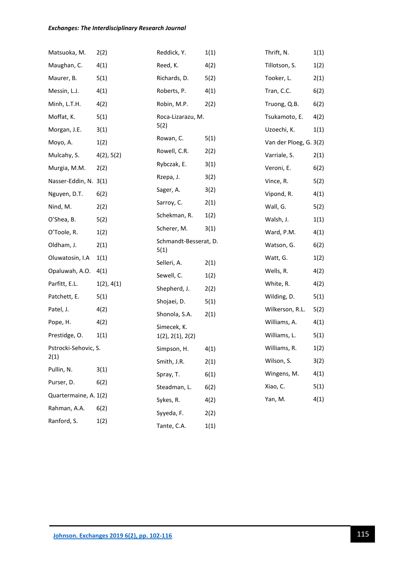### *Exchanges: The Interdisciplinary Research Journal*

| Matsuoka, M.          | 2(2)       | Reddick, Y.                   | 1(1) | Thrift, N.             | 1(1) |
|-----------------------|------------|-------------------------------|------|------------------------|------|
| Maughan, C.           | 4(1)       | Reed, K.                      | 4(2) | Tillotson, S.          | 1(2) |
| Maurer, B.            | 5(1)       | Richards, D.                  | 5(2) | Tooker, L.             | 2(1) |
| Messin, L.J.          | 4(1)       | Roberts, P.                   | 4(1) | Tran, C.C.             | 6(2) |
| Minh, L.T.H.          | 4(2)       | Robin, M.P.                   | 2(2) | Truong, Q.B.           | 6(2) |
| Moffat, K.            | 5(1)       | Roca-Lizarazu, M.             |      | Tsukamoto, E.          | 4(2) |
| Morgan, J.E.          | 3(1)       | 5(2)                          |      | Uzoechi, K.            | 1(1) |
| Moyo, A.              | 1(2)       | Rowan, C.                     | 5(1) | Van der Ploeg, G. 3(2) |      |
| Mulcahy, S.           | 4(2), 5(2) | Rowell, C.R.                  | 2(2) | Varriale, S.           | 2(1) |
| Murgia, M.M.          | 2(2)       | Rybczak, E.                   | 3(1) | Veroni, E.             | 6(2) |
| Nasser-Eddin, N. 3(1) |            | Rzepa, J.                     | 3(2) | Vince, R.              | 5(2) |
| Nguyen, D.T.          | 6(2)       | Sager, A.                     | 3(2) | Vipond, R.             | 4(1) |
| Nind, M.              | 2(2)       | Sarroy, C.                    | 2(1) | Wall, G.               | 5(2) |
| O'Shea, B.            | 5(2)       | Schekman, R.                  | 1(2) | Walsh, J.              | 1(1) |
| O'Toole, R.           | 1(2)       | Scherer, M.                   | 3(1) | Ward, P.M.             | 4(1) |
| Oldham, J.            | 2(1)       | Schmandt-Besserat, D.<br>5(1) |      | Watson, G.             | 6(2) |
| Oluwatosin, I.A       | 1(1)       | Selleri, A.                   | 2(1) | Watt, G.               | 1(2) |
| Opaluwah, A.O.        | 4(1)       | Sewell, C.                    | 1(2) | Wells, R.              | 4(2) |
| Parfitt, E.L.         | 1(2), 4(1) | Shepherd, J.                  | 2(2) | White, R.              | 4(2) |
| Patchett, E.          | 5(1)       | Shojaei, D.                   | 5(1) | Wilding, D.            | 5(1) |
| Patel, J.             | 4(2)       | Shonola, S.A.                 | 2(1) | Wilkerson, R.L.        | 5(2) |
| Pope, H.              | 4(2)       | Simecek, K.                   |      | Williams, A.           | 4(1) |
| Prestidge, O.         | 1(1)       | 1(2), 2(1), 2(2)              |      | Williams, L.           | 5(1) |
| Pstrocki-Sehovic, S.  |            | Simpson, H.                   | 4(1) | Williams, R.           | 1(2) |
| 2(1)                  |            | Smith, J.R.                   | 2(1) | Wilson, S.             | 3(2) |
| Pullin, N.            | 3(1)       | Spray, T.                     | 6(1) | Wingens, M.            | 4(1) |
| Purser, D.            | 6(2)       | Steadman, L.                  | 6(2) | Xiao, C.               | 5(1) |
| Quartermaine, A. 1(2) |            | Sykes, R.                     | 4(2) | Yan, M.                | 4(1) |
| Rahman, A.A.          | 6(2)       | Syyeda, F.                    | 2(2) |                        |      |
| Ranford, S.           | 1(2)       | Tante, C.A.                   | 1(1) |                        |      |